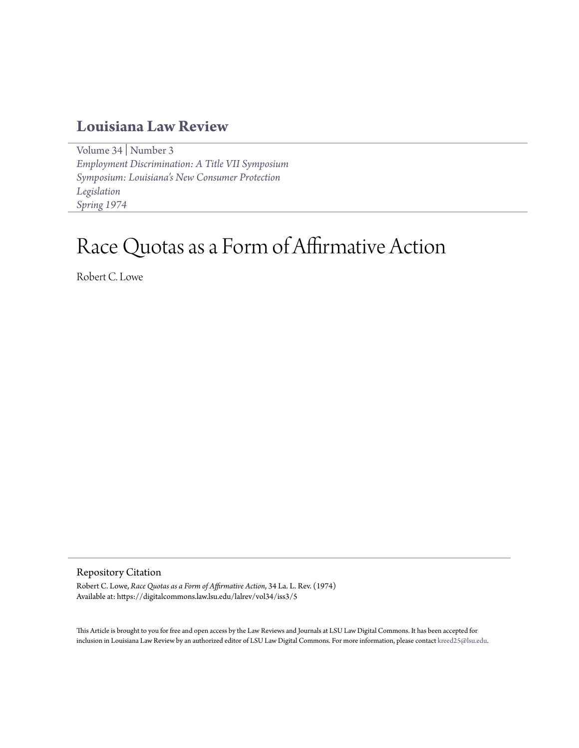## **[Louisiana Law Review](https://digitalcommons.law.lsu.edu/lalrev)**

[Volume 34](https://digitalcommons.law.lsu.edu/lalrev/vol34) | [Number 3](https://digitalcommons.law.lsu.edu/lalrev/vol34/iss3) *[Employment Discrimination: A Title VII Symposium](https://digitalcommons.law.lsu.edu/lalrev/vol34/iss3) [Symposium: Louisiana's New Consumer Protection](https://digitalcommons.law.lsu.edu/lalrev/vol34/iss3) [Legislation](https://digitalcommons.law.lsu.edu/lalrev/vol34/iss3) [Spring 1974](https://digitalcommons.law.lsu.edu/lalrev/vol34/iss3)*

## Race Quotas as a Form of Affirmative Action

Robert C. Lowe

Repository Citation

Robert C. Lowe, *Race Quotas as a Form of Affirmative Action*, 34 La. L. Rev. (1974) Available at: https://digitalcommons.law.lsu.edu/lalrev/vol34/iss3/5

This Article is brought to you for free and open access by the Law Reviews and Journals at LSU Law Digital Commons. It has been accepted for inclusion in Louisiana Law Review by an authorized editor of LSU Law Digital Commons. For more information, please contact [kreed25@lsu.edu](mailto:kreed25@lsu.edu).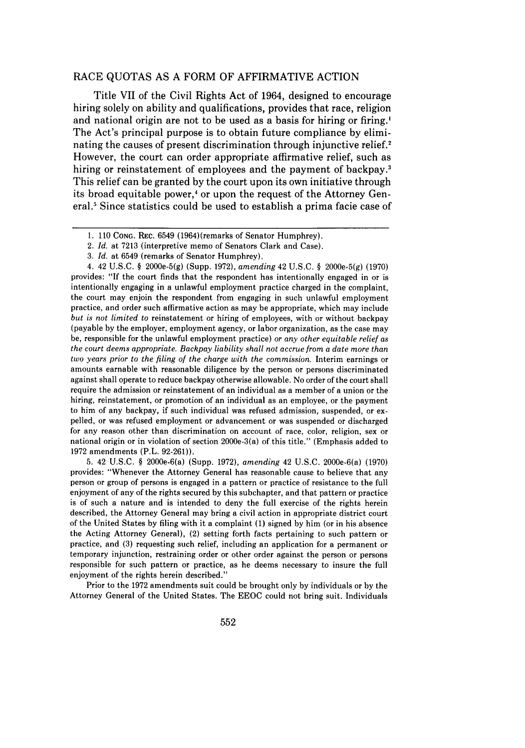## RACE QUOTAS AS A FORM OF AFFIRMATIVE ACTION

Title VII of the Civil Rights Act of 1964, designed to encourage hiring solely on ability and qualifications, provides that race, religion and national origin are not to be used as a basis for hiring or firing.' The Act's principal purpose is to obtain future compliance by eliminating the causes of present discrimination through injunctive relief.<sup>2</sup> However, the court can order appropriate affirmative relief, such as hiring or reinstatement of employees and the payment of backpay.<sup>3</sup> This relief can be granted by the court upon its own initiative through its broad equitable power,<sup>4</sup> or upon the request of the Attorney General." Since statistics could be used to establish a prima facie case of

4. 42 U.S.C. § 2000e-5(g) (Supp. 1972), *amending* 42 U.S.C. § 2000e-5(g) (1970) provides: "If the court finds that the respondent has intentionally engaged in or is intentionally engaging in a unlawful employment practice charged in the complaint, the court may enjoin the respondent from engaging in such unlawful employment practice, and order such affirmative action as may be appropriate, which may include but is *not limited to* reinstatement or hiring of employees, with or without backpay (payable by the employer, employment agency, or labor organization, as the case may be, responsible for the unlawful employment practice) or *any other equitable relief as the court deems appropriate. Backpay liability shall not accrue from a date more than two years prior to the filing of the charge with the commission.* Interim earnings or amounts earnable with reasonable diligence by the person or persons discriminated against shall operate to reduce backpay otherwise allowable. No order of the court shall require the admission or reinstatement of an individual as a member of a union or the hiring, reinstatement, or promotion of an individual as an employee, or the payment to him of any backpay, if such individual was refused admission, suspended, or expelled, or was refused employment or advancement or was suspended or discharged for any reason other than discrimination on account of race, color, religion, sex or national origin or in violation of section 2000e-3(a) of this title." (Emphasis added to 1972 amendments (P.L. 92-261)).

5. 42 U.S.C. § 2000e-6(a) (Supp. 1972), *amending* 42 U.S.C. 2000e-6(a) (1970) provides: "Whenever the Attorney General has reasonable cause to believe that any person or group of persons is engaged in a pattern or practice of resistance to the full enjoyment of any of the rights secured by this subchapter, and that pattern or practice is of such a nature and is intended to deny the full exercise of the rights herein described, the Attorney General may bring a civil action in appropriate district court of the United States by filing with it a complaint (1) signed by him (or in his absence the Acting Attorney General), (2) setting forth facts pertaining to such pattern or practice, and (3) requesting such relief, including an application for a permanent or temporary injunction, restraining order or other order against the person or persons responsible for such pattern or practice, as he deems necessary to insure the full enjoyment of the rights herein described."

Prior to the 1972 amendments suit could be brought only by individuals or by the Attorney General of the United States. The EEOC could not bring suit. Individuals

<sup>1. 110</sup> CONG. REC. 6549 (1964)(remarks of Senator Humphrey).

<sup>2.</sup> *Id.* at 7213 (interpretive memo of Senators Clark and Case).

<sup>3.</sup> *Id.* at 6549 (remarks of Senator Humphrey).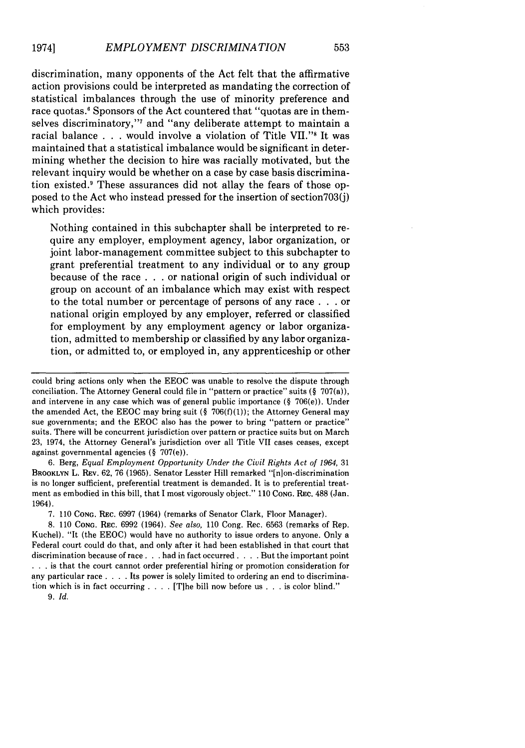discrimination, many opponents of the Act felt that the affirmative action provisions could be interpreted as mandating the correction of statistical imbalances through the use of minority preference and race quotas.<sup>6</sup> Sponsors of the Act countered that "quotas are in themselves discriminatory,"<sup>7</sup> and "any deliberate attempt to maintain a racial balance **. . .** would involve a violation of Title **VII.' 's** It was maintained that a statistical imbalance would be significant in determining whether the decision to hire was racially motivated, but the relevant inquiry would be whether on a case **by** case basis discrimination existed.' These assurances did not allay the fears of those opposed to the Act who instead pressed for the insertion of section703(j) which provides:

Nothing contained in this subchapter shall be interpreted to require any employer, employment agency, labor organization, or joint labor-management committee subject to this subchapter to grant preferential treatment to any individual or to any group because of the race **. . .** or national origin of such individual or group on account of an imbalance which may exist with respect to the total number or percentage of persons of any race **. . .** or national origin employed **by** any employer, referred or classified for employment **by** any employment agency or labor organization, admitted to membership or classified **by** any labor organization, or admitted to, or employed in, any apprenticeship or other

**6.** Berg, *Equal Employment Opportunity Under the Civil Rights Act of 1964,* **31** BROOKLYN L. REv. **62, 76 (1965).** Senator Lesster Hill remarked "[n]on-discrimination is no longer sufficient, preferential treatment is demanded. It is to preferential treatment as embodied in this bill, that **I** most vigorously object." **110 CONG.** REC. **488** (Jan. 1964).

**7. 110 CONG.** REc. **6997** (1964) (remarks of Senator Clark, Floor Manager).

**8. 110 CONG.** REc. **6992** (1964). *See also,* **110** Cong. Rec. **6563** (remarks of Rep. Kuchel). "It (the **EEOC)** would have no authority to issue orders to anyone. Only a Federal court could do that, and only after it had been established in that court that discrimination because of race. **. .** had in fact occurred. **. . .** But the important point **• . .** is that the court cannot order preferential hiring or promotion consideration for any particular race **. . . .** Its power is solely limited to ordering an end to discrimination which is in fact occurring **. . . .** [T]he bill now before us **. . .** is color blind."

*9. Id.*

could bring actions only when the **EEOC** was unable to resolve the dispute through conciliation. The Attorney General could file in "pattern or practice" suits **(§** 707(a)), and intervene in any case which was of general public importance **(§** 706(e)). Under the amended Act, the **EEOC** may bring suit **(§ 706(f)(1));** the Attorney General may sue governments; and the **EEOC** also has the power to bring "pattern or practice" suits. There will be concurrent jurisdiction over pattern or practice suits but on March **23,** 1974, the Attorney General's jurisdiction over all Title VII cases ceases, except against governmental agencies **(§** 707(e)).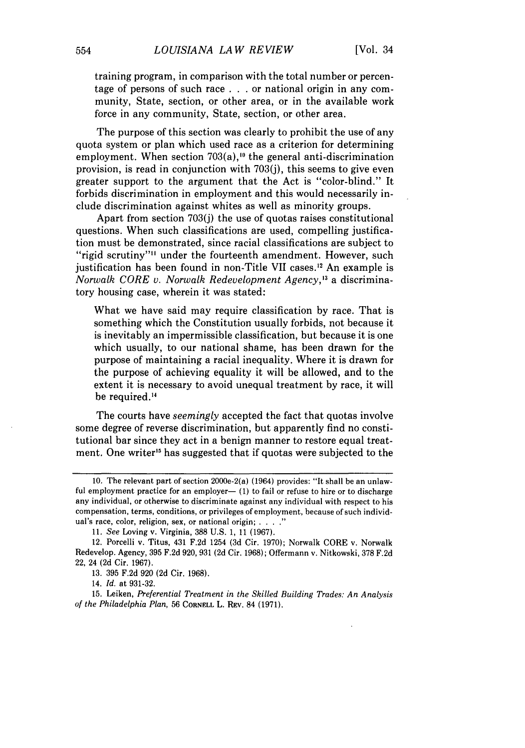training program, in comparison with the total number or percentage of persons of such race . . . or national origin in any community, State, section, or other area, or in the available work force in any community, State, section, or other area.

The purpose of this section was clearly to prohibit the use of any quota system or plan which used race as a criterion for determining employment. When section  $703(a)$ ,<sup>10</sup> the general anti-discrimination provision, is read in conjunction with 703(j), this seems to give even greater support to the argument that the Act is "color-blind." It forbids discrimination in employment and this would necessarily include discrimination against whites as well as minority groups.

Apart from section 703(j) the use of quotas raises constitutional questions. When such classifications are used, compelling justification must be demonstrated, since racial classifications are subject to "rigid scrutiny"<sup>11</sup> under the fourteenth amendment. However, such justification has been found in non-Title VII cases.<sup>12</sup> An example is *Norwalk CORE v. Norwalk Redevelopment Agency, <sup>3</sup>*a discriminatory housing case, wherein it was stated:

What we have said may require classification by race. That is something which the Constitution usually forbids, not because it is inevitably an impermissible classification, but because it is one which usually, to our national shame, has been drawn for the purpose of maintaining a racial inequality. Where it is drawn for the purpose of achieving equality it will be allowed, and to the extent it is necessary to avoid unequal treatment by race, it will be required.<sup>14</sup>

The courts have *seemingly* accepted the fact that quotas involve some degree of reverse discrimination, but apparently find no constitutional bar since they act in a benign manner to restore equal treatment. One writer<sup>15</sup> has suggested that if quotas were subjected to the

<sup>10.</sup> The relevant part of section 2000e-2(a) (1964) provides: "It shall be an unlawful employment practice for an employer— $(1)$  to fail or refuse to hire or to discharge any individual, or otherwise to discriminate against any individual with respect to his compensation, terms, conditions, or privileges of employment, because of such individual's race, color, religion, sex, or national origin; **.... "**

<sup>11.</sup> *See* Loving v. Virginia, 388 U.S. 1, 11 (1967).

<sup>12.</sup> Porcelli v. Titus, 431 F.2d 1254 (3d Cir. 1970); Norwalk CORE v. Norwalk Redevelop. Agency, 395 F.2d 920, 931 (2d Cir. 1968); Offermann v. Nitkowski, 378 F.2d 22, 24 (2d Cir. 1967).

<sup>13. 395</sup> F.2d 920 (2d Cir. 1968).

<sup>14.</sup> *Id.* at 931-32.

<sup>15.</sup> Leiken, *Preferential Treatment in the Skilled Building Trades: An Analysis of the Philadelphia Plan,* 56 **CORNELL** L. REV. 84 (1971).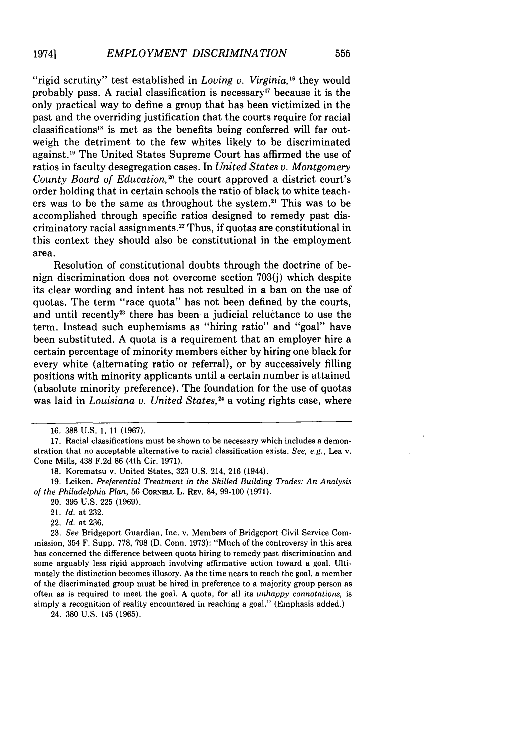"rigid scrutiny" test established in *Loving v. Virginia*,<sup>16</sup> they would probably pass. A racial classification is necessary'7 because it is the only practical way to define a group that has been victimized in the past and the overriding justification that the courts require for racial classifications" is met as the benefits being conferred will far outweigh the detriment to the few whites likely to be discriminated against." The United States Supreme Court has affirmed the use of ratios in faculty desegregation cases. In *United States v. Montgomery* County Board of Education,<sup>20</sup> the court approved a district court's order holding that in certain schools the ratio of black to white teachers was to be the same as throughout the system.<sup>21</sup> This was to be accomplished through specific ratios designed to remedy past discriminatory racial assignments." Thus, if quotas are constitutional in this context they should also be constitutional in the employment area.

Resolution of constitutional doubts through the doctrine of benign discrimination does not overcome section 703(j) which despite its clear wording and intent has not resulted in a ban on the use of quotas. The term "race quota" has not been defined by the courts, and until recently<sup>23</sup> there has been a judicial reluctance to use the term. Instead such euphemisms as "hiring ratio" and "goal" have been substituted. A quota is a requirement that an employer hire a certain percentage of minority members either by hiring one black for every white (alternating ratio or referral), or by successively filling positions with minority applicants until a certain number is attained (absolute minority preference). The foundation for the use of quotas was laid in *Louisiana v. United States,"'* a voting rights case, where

18. Korematsu v. United States, 323 U.S. 214, 216 (1944).

19. Leiken, *Preferential Treatment in the Skilled Building Trades: An Analysis of the Philadelphia Plan,* 56 CORNELL L. REv. 84, 99-100 (1971).

20. 395 U.S. 225 (1969).

21. *Id.* at 232.

22. *Id.* at 236.

23. *See* Bridgeport Guardian, Inc. v. Members of Bridgeport Civil Service Commission, 354 F. Supp. 778, 798 (D. Conn. 1973): "Much of the controversy in this area has concerned the difference between quota hiring to remedy past discrimination and some arguably less rigid approach involving affirmative action toward a goal. Ultimately the distinction becomes illusory. As the time nears to reach the goal, a member of the discriminated group must be hired in preference to a majority group person as often as is required to meet the goal. A quota, for all its *unhappy connotations,* is simply a recognition of reality encountered in reaching a goal." (Emphasis added.)

24. 380 U.S. 145 (1965).

<sup>16. 388</sup> U.S. 1, 11 (1967).

<sup>17.</sup> Racial classifications must be shown to be necessary which includes a demonstration that no acceptable alternative to racial classification exists. *See, e.g.,* Lea v. Cone Mills, 438 F.2d 86 (4th Cir. 1971).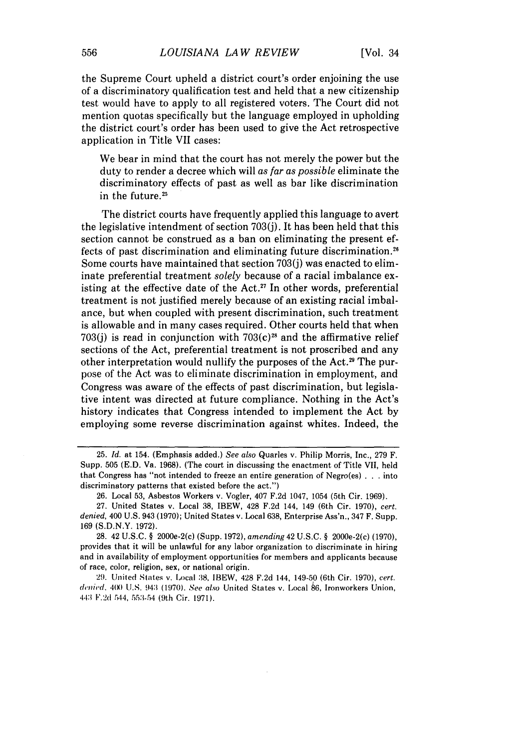the Supreme Court upheld a district court's order enjoining the use of a discriminatory qualification test and held that a new citizenship test would have to apply to all registered voters. The Court did not mention quotas specifically but the language employed in upholding the district court's order has been used to give the Act retrospective application in Title VII cases:

We bear in mind that the court has not merely the power but the duty to render a decree which will as far as *possible* eliminate the discriminatory effects of past as well as bar like discrimination in the future.<sup>25</sup>

The district courts have frequently applied this language to avert the legislative intendment of section 703(j). It has been held that this section cannot be construed as a ban on eliminating the present effects of past discrimination and eliminating future discrimination.<sup>26</sup> Some courts have maintained that section 703(j) was enacted to eliminate preferential treatment *solely* because of a racial imbalance existing at the effective date of the Act.<sup>27</sup> In other words, preferential treatment is not justified merely because of an existing racial imbalance, but when coupled with present discrimination, such treatment is allowable and in many cases required. Other courts held that when 703(i) is read in conjunction with  $703(c)<sup>28</sup>$  and the affirmative relief sections of the Act, preferential treatment is not proscribed and any other interpretation would nullify the purposes of the Act.<sup>29</sup> The purpose of the Act was to eliminate discrimination in employment, and Congress was aware of the effects of past discrimination, but legislative intent was directed at future compliance. Nothing in the Act's history indicates that Congress intended to implement the Act by employing some reverse discrimination against whites. Indeed, the

<sup>25.</sup> *Id.* at 154. (Emphasis added.) *See also* Quarles v. Philip Morris, Inc., 279 F. Supp. 505 (E.D. Va. 1968). (The court in discussing the enactment of Title VII, held that Congress has "not intended to freeze an entire generation of Negro(es) . **.** . into discriminatory patterns that existed before the act.")

<sup>26.</sup> Local 53, Asbestos Workers v. Vogler, 407 F.2d 1047, 1054 (5th Cir. 1969).

<sup>27.</sup> United States v. Local 38, IBEW, 428 F.2d 144, 149 (6th Cir. 1970), *cert. denied,* 400 U.S. 943 (1970); United States v. Local 638, Enterprise Ass'n., 347 F. Supp. 169 (S.D.N.Y. 1972).

<sup>28. 42</sup> U.S.C. § 2000e-2(c) (Supp. 1972), *amending* 42 U.S.C. § 2000e-2(c) (1970), provides that it will be unlawful for any labor organization to discriminate in hiring and in availability of employment opportunities for members and applicants because of race, color, religion, sex, or national origin.

<sup>29.</sup> United States v. Local **:38,** IBEW, 428 F.2d 144, 149-50 (6th Cir. 1970), *cert.* denied. 400 U.S. 943 (1970). See also United States v. Local 86, Ironworkers Union, 443 V.2d 544, 553-54 (9th Cir. 1971).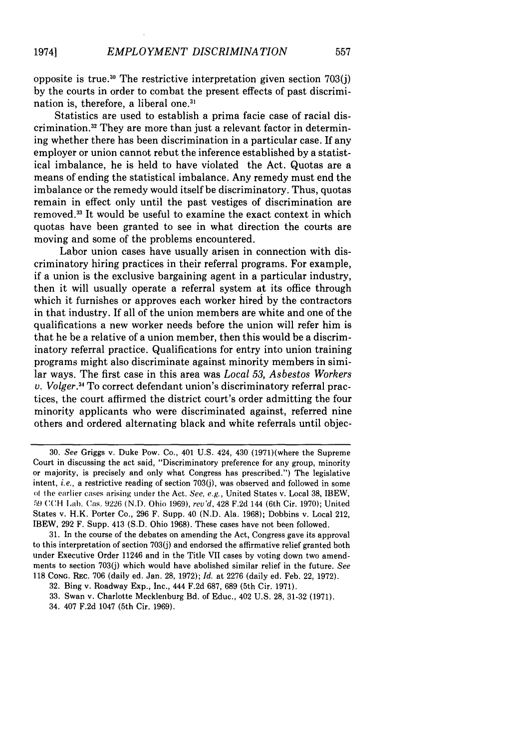557

opposite is true.<sup>30</sup> The restrictive interpretation given section  $703(j)$ by the courts in order to combat the present effects of past discrimination is, therefore, a liberal one.<sup>31</sup>

Statistics are used to establish a prima facie case of racial discrimination.<sup>32</sup> They are more than just a relevant factor in determining whether there has been discrimination in a particular case. If any employer or union cannot rebut the inference established by a statistical imbalance, he is held to have violated the Act. Quotas are a means of ending the statistical imbalance. Any remedy must end the imbalance or the remedy would itself be discriminatory. Thus, quotas remain in effect only until the past vestiges of discrimination are removed. 33 It would be useful to examine the exact context in which quotas have been granted to see in what direction the courts are moving and some of the problems encountered.

Labor union cases have usually arisen in connection with discriminatory hiring practices in their referral programs. For example, if a union is the exclusive bargaining agent in a particular industry, then it will usually operate a referral system at its office through which it furnishes or approves each worker hired by the contractors in that industry. If all of the union members are white and one of the qualifications a new worker needs before the union will refer him is that he be a relative of a union member, then this would be a discriminatory referral practice. Qualifications for entry into union training programs might also discriminate against minority members in similar ways. The first case in this area was *Local 53, Asbestos Workers v. Volger.34* To correct defendant union's discriminatory referral practices, the court affirmed the district court's order admitting the four minority applicants who were discriminated against, referred nine others and ordered alternating black and white referrals until objec-

34. 407 F.2d 1047 (5th Cir. 1969).

<sup>30.</sup> *See* Griggs v. Duke Pow. Co., 401 U.S. 424, 430 (1971)(where the Supreme Court in discussing the act said, "Discriminatory preference for any group, minority or majority, is precisely and only what Congress has prescribed.") The legislative intent, *i.e.,* a restrictive reading of section 703(j), was observed and followed in some of the earlier cases arising under the Act. *See, e.g.,* United States v. Local 38, IBEW, 59 CCH Lab. ('as. 9226 **(N.D.** Ohio 1969), *rev'd,* 428 F.2d 144 (6th Cir. 1970); United States v. H.K. Porter Co., 296 F. Supp. 40 (N.D. Ala. 1968); Dobbins v. Local 212, IBEW, 292 F. Supp. 413 (S.D. Ohio 1968). These cases have not been followed.

<sup>31.</sup> In the course of the debates on amending the Act, Congress gave its approval to this interpretation of section 703(j) and endorsed the affirmative relief granted both under Executive Order 11246 and in the Title VII cases by voting down two amendments to section 703(j) which would have abolished similar relief in the future. *See* 118 CONG. REc. 706 (daily ed. Jan. 28, 1972); *Id.* at 2276 (daily ed. Feb. 22, 1972).

<sup>32.</sup> Bing v. Roadway Exp., Inc., 444 F.2d 687, 689 (5th Cir. 1971).

<sup>33.</sup> Swan v. Charlotte Mecklenburg Bd. of Educ., 402 U.S. 28, 31-32 (1971).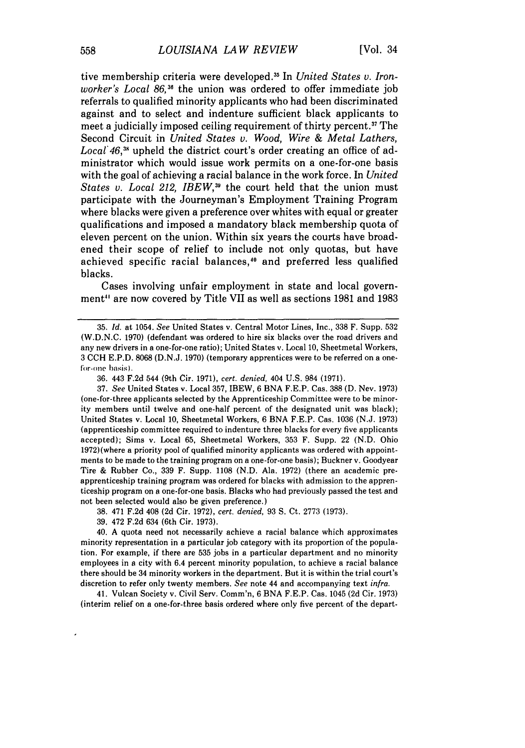tive membership criteria were developed.15 In *United States v. Ironworker's Local 86,36* the union was ordered to offer immediate job referrals to qualified minority applicants who had been discriminated against and to select and indenture sufficient black applicants to meet a judicially imposed ceiling requirement of thirty percent.<sup>37</sup> The Second Circuit in *United States v. Wood, Wire & Metal Lathers,* Local 46,<sup>38</sup> upheld the district court's order creating an office of administrator which would issue work permits on a one-for-one basis with the goal of achieving a racial balance in the work force. In *United States v. Local 212, IBEW*,<sup>39</sup> the court held that the union must participate with the Journeyman's Employment Training Program where blacks were given a preference over whites with equal or greater qualifications and imposed a mandatory black membership quota of eleven percent on the union. Within six years the courts have broadened their scope of relief to include not only quotas, but have achieved specific racial balances,<sup>10</sup> and preferred less qualified blacks.

Cases involving unfair employment in state and local government<sup>41</sup> are now covered by Title VII as well as sections 1981 and 1983

37. *See* United States v. Local 357, IBEW, 6 BNA F.E.P. Cas. 388 (D. Nev. 1973) (one-for-three applicants selected by the Apprenticeship Committee were to be minority members until twelve and one-half percent of the designated unit was black); United States v. Local 10, Sheetmetal Workers, 6 BNA F.E.P. Cas. 1036 (N.J. 1973) (apprenticeship committee required to indenture three blacks for every five applicants accepted); Sims v. Local 65, Sheetmetal Workers, 353 F. Supp. 22 (N.D. Ohio 1972)(where a priority pool of qualified minority applicants was ordered with appointments to be made to the training program on a one-for-one basis); Buckner v. Goodyear Tire & Rubber Co., 339 F. Supp. 1108 (N.D. Ala. 1972) (there an academic preapprenticeship training program was ordered for blacks with admission to the apprenticeship program on a one-for-one basis. Blacks who had previously passed the test and not been selected would also be given preference.)

38. 471 F.2d 408 (2d Cir. 1972), *cert. denied,* 93 **S.** Ct. 2773 (1973).

39. 472 F.2d 634 (6th Cir. 1973).

40. A quota need not necessarily achieve a racial balance which approximates minority representation in a particular job category with its proportion of the population. For example, if there are 535 jobs in a particular department and no minority employees in a city with 6.4 percent minority population, to achieve a racial balance there should be 34 minority workers in the department. But it is within the trial court's discretion to refer only twenty members. *See* note 44 and accompanying text *infra.*

41. Vulcan Society v. Civil Serv. Comm'n, 6 BNA F.E.P. Cas. 1045 (2d Cir. 1973) (interim relief on a one-for-three basis ordered where only five percent of the depart-

<sup>35.</sup> *Id.* at 1054. *See* United States v. Central Motor Lines, Inc., 338 F. Supp. 532 (W.D.N.C. 1970) (defendant was ordered to hire six blacks over the road drivers and any new drivers in a one-for-one ratio); United States v. Local 10, Sheetmetal Workers, 3 CCH E.P.D. 8068 (D.N.J. 1970) (temporary apprentices were to be referred on a onefor-one basis).

<sup>36. 443</sup> F.2d 544 (9th Cir. 1971), *cert. denied,* 404 U.S. 984 (1971).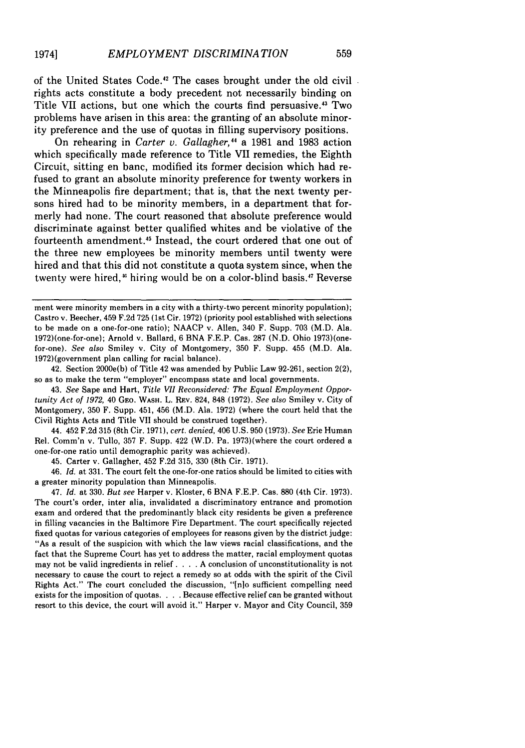of the United States Code.42 The cases brought under the old civil rights acts constitute a body precedent not necessarily binding on Title VII actions, but one which the courts find persuasive.43 Two problems have arisen in this area: the granting of an absolute minority preference and the use of quotas in filling supervisory positions.

On rehearing in *Carter v. Gallagher,"* a 1981 and 1983 action which specifically made reference to Title VII remedies, the Eighth Circuit, sitting en banc, modified its former decision which had refused to grant an absolute minority preference for twenty workers in the Minneapolis fire department; that is, that the next twenty persons hired had to be minority members, in a department that formerly had none. The court reasoned that absolute preference would discriminate against better qualified whites and be violative of the fourteenth amendment.45 Instead, the court ordered that one out of the three new employees be minority members until twenty were hired and that this did not constitute a quota system since, when the twenty were hired,<sup>46</sup> hiring would be on a color-blind basis.<sup>47</sup> Reverse

ment were minority members in a city with a thirty-two percent minority population); Castro v. Beecher, 459 F.2d 725 (1st Cir. 1972) (priority pool established with selections to be made on a one-for-one ratio); NAACP v. Allen, 340 F. Supp. 703 (M.D. Ala. 1972)(one-for-one); Arnold v. Ballard, 6 BNA F.E.P. Cas. 287 (N.D. Ohio 1973)(onefor-one). *See also* Smiley v. City of Montgomery, 350 F. Supp. 455 (M.D. Ala. 1972)(government plan calling for racial balance).

42. Section 2000e(b) of Title 42 was amended by Public Law 92-261, section 2(2), so as to make the term "employer" encompass state and local governments.

43. *See* Sape and Hart, *Title VII Reconsidered: The Equal Employment Opportunity Act of 1972,* 40 GEo. WASH. L. REv. 824, 848 (1972). *See also* Smiley v. City of Montgomery, 350 F. Supp. 451, 456 (M.D. Ala. 1972) (where the court held that the Civil Rights Acts and Title VII should be construed together).

44. 452 F.2d 315 (8th Cir. 1971), *cert. denied,* 406 U.S. 950 (1973). *See* Erie Human Rel. Comm'n v. Tullo, 357 F. Supp. 422 (W.D. Pa. 1973)(where the court ordered a one-for-one ratio until demographic parity was achieved).

45. Carter v. Gallagher, 452 F.2d 315, 330 (8th Cir. 1971).

46. *Id.* at 331. The court felt the one-for-one ratios should be limited to cities with a greater minority population than Minneapolis.

47. *Id.* at 330. *But see* Harper v. Kloster, 6 BNA F.E.P. Cas. 880 (4th Cir. 1973). The court's order, inter alia, invalidated a discriminatory entrance and promotion exam and ordered that the predominantly black city residents be given a preference in filling vacancies in the Baltimore Fire Department. The court specifically rejected fixed quotas for various categories of employees for reasons given by the district judge: "As a result of the suspicion with which the law views racial classifications, and the fact that the Supreme Court has yet to address the matter, racial employment quotas may not be valid ingredients in relief. . **.** .A conclusion of unconstitutionality is not necessary to cause the court to reject a remedy so at odds with the spirit of the Civil Rights Act." The court concluded the discussion, "[nlo sufficient compelling need exists for the imposition of quotas. . **. .** Because effective relief can be granted without resort to this device, the court will avoid it." Harper v. Mayor and City Council, 359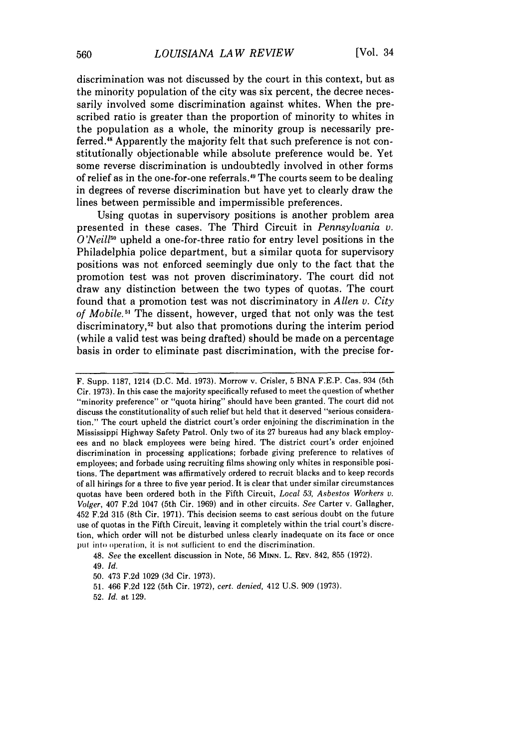discrimination was not discussed **by** the court in this context, but as the minority population of the city was six percent, the decree necessarily involved some discrimination against whites. When the prescribed ratio is greater than the proportion of minority to whites in the population as a whole, the minority group is necessarily preferred.<sup>48</sup> Apparently the majority felt that such preference is not constitutionally objectionable while absolute preference would be. Yet some reverse discrimination is undoubtedly involved in other forms of relief as in the one-for-one referrals.<sup>49</sup> The courts seem to be dealing in degrees of reverse discrimination but have yet to clearly draw the lines between permissible and impermissible preferences.

Using quotas in supervisory positions is another problem area presented in these cases. The Third Circuit in *Pennsylvania v.* O'Neill<sup>50</sup> upheld a one-for-three ratio for entry level positions in the Philadelphia police department, but a similar quota for supervisory positions was not enforced seemingly due only to the fact that the promotion test was not proven discriminatory. The court did not draw any distinction between the two types of quotas. The court found that a promotion test was not discriminatory in *Allen v. City of Mobile.5* The dissent, however, urged that not only was the test discriminatory,<sup>52</sup> but also that promotions during the interim period (while a valid test was being drafted) should be made on a percentage basis in order to eliminate past discrimination, with the precise for-

F. Supp. **1187,** 1214 **(D.C. Md. 1973).** Morrow v. Crisler, **5 BNA** F.E.P. Cas. 934 (5th Cir. **1973).** In this case the majority specifically refused to meet the question of whether "minority preference" or "quota hiring" should have been granted. The court did not discuss the constitutionality of such relief but held that it deserved "serious consideration." The court upheld the district court's order enjoining the discrimination in the Mississippi Highway Safety Patrol. Only two of its **27** bureaus had any black employees and no black employees were being hired. The district court's order enjoined discrimination in processing applications; forbade giving preference to relatives of employees; and forbade using recruiting films showing only whites in responsible positions. The department was affirmatively ordered to recruit blacks and to keep records of all hirings for a three to five year period. It is clear that under similar circumstances quotas have been ordered both in the Fifth Circuit, *Local 53, Asbestos Workers v. Volger,* 407 **F.2d** 1047 (5th Cir. **1969)** and in other circuits. *See* Carter v. Gallagher, 452 **F.2d 315** (8th Cir. **1971).** This decision seems to cast serious doubt on the future use of quotas in the Fifth Circuit, leaving it completely within the trial court's discretion, which order will not be disturbed unless clearly inadequate on its face or once put into operation, it is not sufficient to end the discrimination.

48. *See* the excellent discussion in Note, **56 MINN.** L. REV. 842, **855 (1972).**

**51.** 466 **F.2d** 122 (5th Cir. **1972),** *cert. denied,* 412 **U.S. 909 (1973).**

**52.** *Id.* at **129.**

<sup>49.</sup> *Id.*

**<sup>50.</sup>** 473 **F.2d 1029 (3d** Cir. **1973).**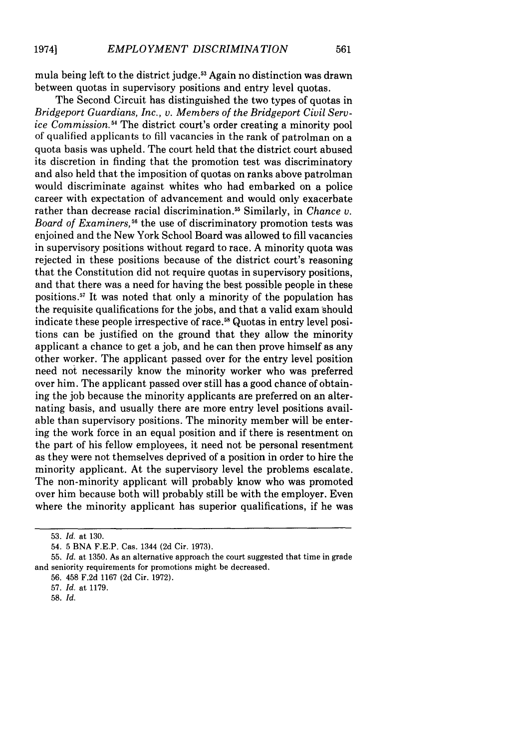mula being left to the district judge.53 Again no distinction was drawn between quotas in supervisory positions and entry level quotas.

The Second Circuit has distinguished the two types of quotas in *Bridgeport Guardians, Inc., v. Members of the Bridgeport Civil Service Commission.54* The district court's order creating a minority pool of qualified applicants to fill vacancies in the rank of patrolman on a quota basis was upheld. The court held that the district court abused its discretion in finding that the promotion test was discriminatory and also held that the imposition of quotas on ranks above patrolman would discriminate against whites who had embarked on a police career with expectation of advancement and would only exacerbate rather than decrease racial discrimination.55 Similarly, in *Chance v.* Board of Examiners,<sup>56</sup> the use of discriminatory promotion tests was enjoined and the New York School Board was allowed to fill vacancies in supervisory positions without regard to race. A minority quota was rejected in these positions because of the district court's reasoning that the Constitution did not require quotas in supervisory positions, and that there was a need for having the best possible people in these positions.<sup>57</sup> It was noted that only a minority of the population has the requisite qualifications for the jobs, and that a valid exam should indicate these people irrespective of race.<sup>58</sup> Quotas in entry level positions can be justified on the ground that they allow the minority applicant a chance to get a job, and he can then prove himself as any other worker. The applicant passed over for the entry level position need not necessarily know the minority worker who was preferred over him. The applicant passed over still has a good chance of obtaining the job because the minority applicants are preferred on an alternating basis, and usually there are more entry level positions available than supervisory positions. The minority member will be entering the work force in an equal position and if there is resentment on the part of his fellow employees, it need not be personal resentment as they were not themselves deprived of a position in order to hire the minority applicant. At the supervisory level the problems escalate. The non-minority applicant will probably know who was promoted over him because both will probably still be with the employer. Even where the minority applicant has superior qualifications, if he was

<sup>53.</sup> *Id.* at 130.

<sup>54. 5</sup> BNA F.E.P. Cas. 1344 (2d Cir. 1973).

<sup>55.</sup> *Id.* at 1350. As an alternative approach the court suggested that time in grade and seniority requirements for promotions might be decreased.

<sup>56. 458</sup> F.2d 1167 (2d Cir. 1972).

<sup>57.</sup> *Id.* at 1179.

<sup>58.</sup> *Id.*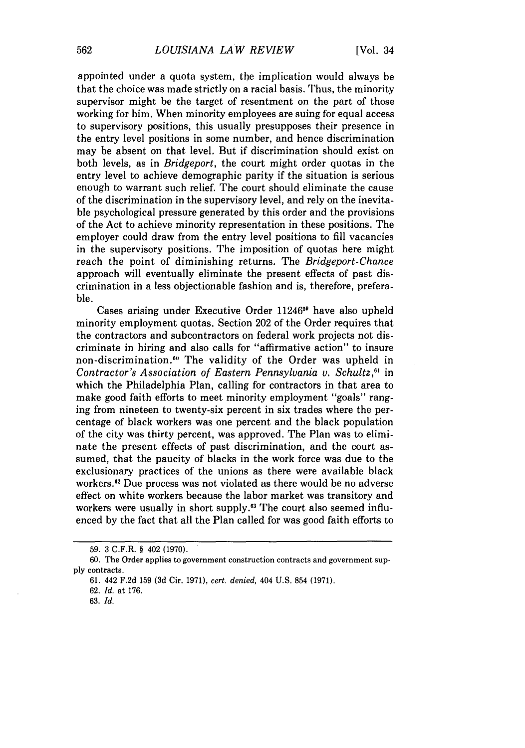appointed under a quota system, the implication would always be that the choice was made strictly on a racial basis. Thus, the minority supervisor might be the target of resentment on the part of those working for him. When minority employees are suing for equal access to supervisory positions, this usually presupposes their presence in the entry level positions in some number, and hence discrimination may be absent on that level. But if discrimination should exist on both levels, as in *Bridgeport,* the court might order quotas in the entry level to achieve demographic parity if the situation is serious enough to warrant such relief. The court should eliminate the cause of the discrimination in the supervisory level, and rely on the inevitable psychological pressure generated by this order and the provisions of the Act to achieve minority representation in these positions. The employer could draw from the entry level positions to fill vacancies in the supervisory positions. The imposition of quotas here might reach the point of diminishing returns. The *Bridgeport-Chance* approach will eventually eliminate the present effects of past discrimination in a less objectionable fashion and is, therefore, preferable.

Cases arising under Executive Order 11246<sup>59</sup> have also upheld minority employment quotas. Section 202 of the Order requires that the contractors and subcontractors on federal work projects not discriminate in hiring and also calls for "affirmative action" to insure non-discrimination.'" The validity of the Order was upheld in *Contractor's Association of Eastern Pennsylvania v. Schultz,"* in which the Philadelphia Plan, calling for contractors in that area to make good faith efforts to meet minority employment "goals" ranging from nineteen to twenty-six percent in six trades where the percentage of black workers was one percent and the black population of the city was thirty percent, was approved. The Plan was to eliminate the present effects of past discrimination, and the court assumed, that the paucity of blacks in the work force was due to the exclusionary practices of the unions as there were available black workers.<sup>62</sup> Due process was not violated as there would be no adverse effect on white workers because the labor market was transitory and workers were usually in short supply.<sup>63</sup> The court also seemed influenced by the fact that all the Plan called for was good faith efforts to

**62.** *Id.* at **176.**

**63.** *Id.*

**<sup>59. 3</sup>** C.F.R. § 402 **(1970).**

**<sup>60.</sup>** The Order applies to government construction contracts and government sup**ply** contracts.

**<sup>61.</sup>** 442 **F.2d 159 (3d** Cir. 1971), *cert. denied,* 404 U.S. 854 (1971).